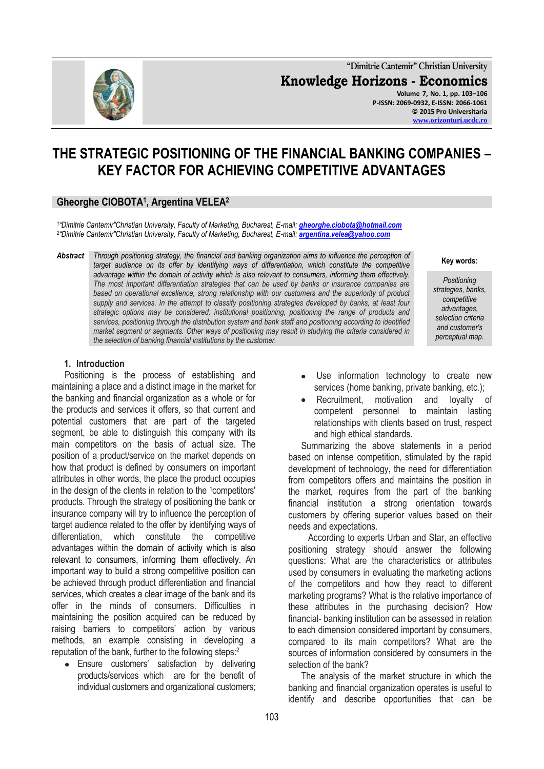**"Dimitrie Cantemir" Christian University Knowledge Horizons - Economics Volume 7, No. 1, pp. 103–106 P-ISSN: 2069-0932, E-ISSN: 2066-1061 © 2015 Pro Universitaria [www.orizonturi.ucdc.ro](http://www.orizonturi.ucdc.ro/)**

# **THE STRATEGIC POSITIONING OF THE FINANCIAL BANKING COMPANIES – KEY FACTOR FOR ACHIEVING COMPETITIVE ADVANTAGES**

## **Gheorghe CIOBOTA<sup>1</sup> , Argentina VELEA<sup>2</sup>**

*1 "Dimitrie Cantemir"Christian University, Faculty of Marketing, Bucharest, E-mail: [gheorghe.ciobota@hotmail.com](mailto:gheorghe.ciobota@hotmail.com) 2 "Dimitrie Cantemir"Christian University, Faculty of Marketing, Bucharest, E-mail: [argentina.velea@yahoo.com](mailto:argentina.velea@yahoo.com)*

*Abstract Through positioning strategy, the financial and banking organization aims to influence the perception of target audience on its offer by identifying ways of differentiation, which constitute the competitive advantage within the domain of activity which is also relevant to consumers, informing them effectively. The most important differentiation strategies that can be used by banks or insurance companies are based on operational excellence, strong relationship with our customers and the superiority of product supply and services. In the attempt to classify positioning strategies developed by banks, at least four strategic options may be considered: institutional positioning, positioning the range of products and services, positioning through the distribution system and bank staff and positioning according to identified market segment or segments. Other ways of positioning may result in studying the criteria considered in the selection of banking financial institutions by the customer.*

**1. Introduction**

Positioning is the process of establishing and maintaining a place and a distinct image in the market for the banking and financial organization as a whole or for the products and services it offers, so that current and potential customers that are part of the targeted segment, be able to distinguish this company with its main competitors on the basis of actual size. The position of a product/service on the market depends on how that product is defined by consumers on important attributes in other words, the place the product occupies in the design of the clients in relation to the 1competitors' products. Through the strategy of positioning the bank or insurance company will try to influence the perception of target audience related to the offer by identifying ways of differentiation, which constitute the competitive advantages within the domain of activity which is also relevant to consumers, informing them effectively. An important way to build a strong competitive position can be achieved through product differentiation and financial services, which creates a clear image of the bank and its offer in the minds of consumers. Difficulties in maintaining the position acquired can be reduced by raising barriers to competitors' action by various methods, an example consisting in developing a reputation of the bank, further to the following steps:<sup>2</sup>

• Ensure customers' satisfaction by delivering products/services which are for the benefit of individual customers and organizational customers;

- Use information technology to create new  $\bullet$ services (home banking, private banking, etc.);
- Recruitment, motivation and loyalty of competent personnel to maintain lasting relationships with clients based on trust, respect and high ethical standards.

Summarizing the above statements in a period based on intense competition, stimulated by the rapid development of technology, the need for differentiation from competitors offers and maintains the position in the market, requires from the part of the banking financial institution a strong orientation towards customers by offering superior values based on their needs and expectations.

 According to experts Urban and Star, an effective positioning strategy should answer the following questions: What are the characteristics or attributes used by consumers in evaluating the marketing actions of the competitors and how they react to different marketing programs? What is the relative importance of these attributes in the purchasing decision? How financial- banking institution can be assessed in relation to each dimension considered important by consumers, compared to its main competitors? What are the sources of information considered by consumers in the selection of the bank?

The analysis of the market structure in which the banking and financial organization operates is useful to identify and describe opportunities that can be



#### **Key words:**

*Positioning strategies, banks, competitive advantages, selection criteria and customer's perceptual map.*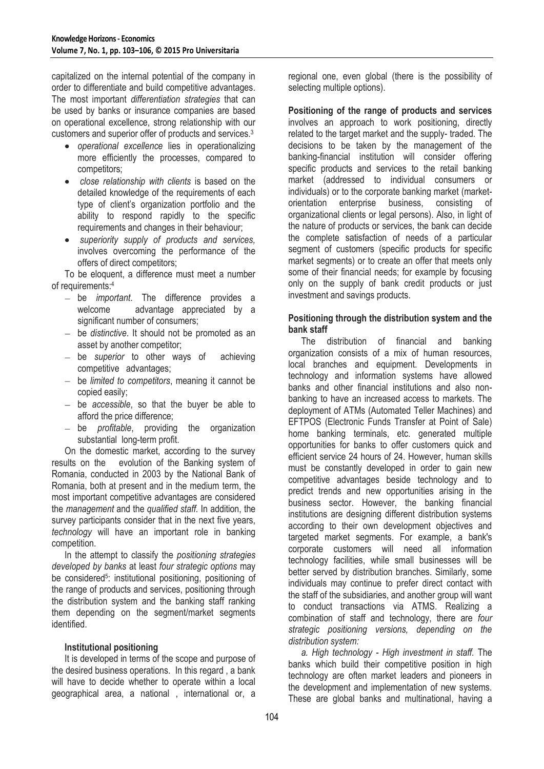capitalized on the internal potential of the company in order to differentiate and build competitive advantages. The most important *differentiation strategies* that can be used by banks or insurance companies are based on operational excellence, strong relationship with our customers and superior offer of products and services.<sup>3</sup>

- *operational excellence* lies in operationalizing more efficiently the processes, compared to competitors;
- *close relationship with clients* is based on the detailed knowledge of the requirements of each type of client's organization portfolio and the ability to respond rapidly to the specific requirements and changes in their behaviour;
- *superiority supply of products and services,* involves overcoming the performance of the offers of direct competitors;

To be eloquent, a difference must meet a number of requirements: 4

- be *important*. The difference provides a welcome advantage appreciated by a significant number of consumers;
- be *distinctive*. It should not be promoted as an asset by another competitor;
- be *superior* to other ways of achieving competitive advantages;
- be *limited to competitors*, meaning it cannot be copied easily;
- be *accessible*, so that the buyer be able to afford the price difference;
- be *profitable*, providing the organization substantial long-term profit.

On the domestic market, according to the survey results on the evolution of the Banking system of Romania, conducted in 2003 by the National Bank of Romania, both at present and in the medium term, the most important competitive advantages are considered the *management* and the *qualified staff.* In addition, the survey participants consider that in the next five years, *technology* will have an important role in banking competition.

In the attempt to classify the *positioning strategies developed by banks* at least *four strategic options* may be considered<sup>5</sup>: institutional positioning, positioning of the range of products and services, positioning through the distribution system and the banking staff ranking them depending on the segment/market segments identified.

#### **Institutional positioning**

It is developed in terms of the scope and purpose of the desired business operations. In this regard , a bank will have to decide whether to operate within a local geographical area, a national , international or, a

regional one, even global (there is the possibility of selecting multiple options).

**Positioning of the range of products and services** involves an approach to work positioning, directly related to the target market and the supply- traded. The decisions to be taken by the management of the banking-financial institution will consider offering specific products and services to the retail banking market (addressed to individual consumers or individuals) or to the corporate banking market (marketorientation enterprise business, consisting of organizational clients or legal persons). Also, in light of the nature of products or services, the bank can decide the complete satisfaction of needs of a particular segment of customers (specific products for specific market segments) or to create an offer that meets only some of their financial needs; for example by focusing only on the supply of bank credit products or just investment and savings products.

#### **Positioning through the distribution system and the bank staff**

The distribution of financial and banking organization consists of a mix of human resources, local branches and equipment. Developments in technology and information systems have allowed banks and other financial institutions and also nonbanking to have an increased access to markets. The deployment of ATMs (Automated Teller Machines) and EFTPOS (Electronic Funds Transfer at Point of Sale) home banking terminals, etc. generated multiple opportunities for banks to offer customers quick and efficient service 24 hours of 24. However, human skills must be constantly developed in order to gain new competitive advantages beside technology and to predict trends and new opportunities arising in the business sector. However, the banking financial institutions are designing different distribution systems according to their own development objectives and targeted market segments. For example, a bank's corporate customers will need all information technology facilities, while small businesses will be better served by distribution branches. Similarly, some individuals may continue to prefer direct contact with the staff of the subsidiaries, and another group will want to conduct transactions via ATMS. Realizing a combination of staff and technology, there are *four strategic positioning versions, depending on the distribution system:*

*a. High technology - High investment in staff.* The banks which build their competitive position in high technology are often market leaders and pioneers in the development and implementation of new systems. These are global banks and multinational, having a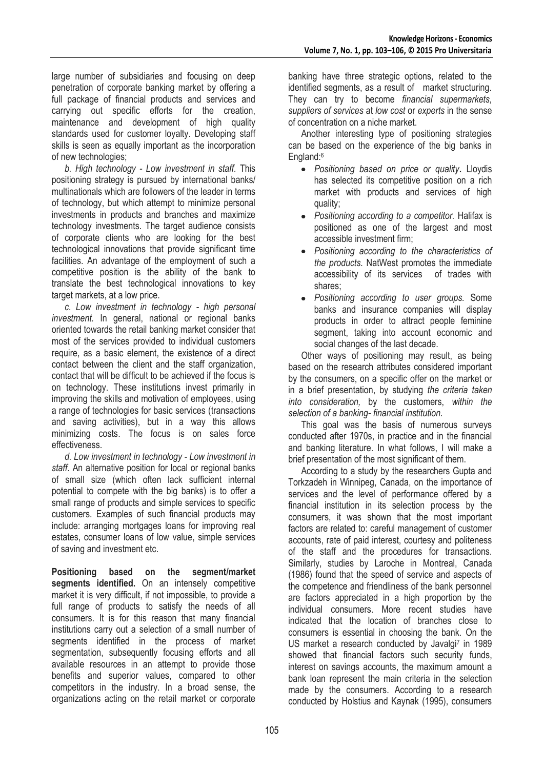large number of subsidiaries and focusing on deep penetration of corporate banking market by offering a full package of financial products and services and carrying out specific efforts for the creation, maintenance and development of high quality standards used for customer loyalty. Developing staff skills is seen as equally important as the incorporation of new technologies;

*b. High technology - Low investment in staff.* This positioning strategy is pursued by international banks/ multinationals which are followers of the leader in terms of technology, but which attempt to minimize personal investments in products and branches and maximize technology investments. The target audience consists of corporate clients who are looking for the best technological innovations that provide significant time facilities. An advantage of the employment of such a competitive position is the ability of the bank to translate the best technological innovations to key target markets, at a low price.

*c. Low investment in technology - high personal investment.* In general, national or regional banks oriented towards the retail banking market consider that most of the services provided to individual customers require, as a basic element, the existence of a direct contact between the client and the staff organization, contact that will be difficult to be achieved if the focus is on technology. These institutions invest primarily in improving the skills and motivation of employees, using a range of technologies for basic services (transactions and saving activities), but in a way this allows minimizing costs. The focus is on sales force effectiveness.

*d. Low investment in technology - Low investment in staff.* An alternative position for local or regional banks of small size (which often lack sufficient internal potential to compete with the big banks) is to offer a small range of products and simple services to specific customers. Examples of such financial products may include: arranging mortgages loans for improving real estates, consumer loans of low value, simple services of saving and investment etc.

**Positioning based on the segment/market**  segments identified. On an intensely competitive market it is very difficult, if not impossible, to provide a full range of products to satisfy the needs of all consumers. It is for this reason that many financial institutions carry out a selection of a small number of segments identified in the process of market segmentation, subsequently focusing efforts and all available resources in an attempt to provide those benefits and superior values, compared to other competitors in the industry. In a broad sense, the organizations acting on the retail market or corporate

banking have three strategic options, related to the identified segments, as a result of market structuring. They can try to become *financial supermarkets, suppliers of services* at *low cost* or *experts* in the sense of concentration on a niche market.

Another interesting type of positioning strategies can be based on the experience of the big banks in England:<sup>6</sup>

- *Positioning based on price or quality***.** Lloydis has selected its competitive position on a rich market with products and services of high quality;
- *Positioning according to a competitor.* Halifax is positioned as one of the largest and most accessible investment firm;
- *Positioning according to the characteristics of the products.* NatWest promotes the immediate accessibility of its services of trades with shares;
- *Positioning according to user groups.* Some banks and insurance companies will display products in order to attract people feminine segment, taking into account economic and social changes of the last decade.

Other ways of positioning may result, as being based on the research attributes considered important by the consumers, on a specific offer on the market or in a brief presentation, by studying *the criteria taken into consideration,* by the customers, *within the selection of a banking- financial institution.*

This goal was the basis of numerous surveys conducted after 1970s, in practice and in the financial and banking literature. In what follows, I will make a brief presentation of the most significant of them.

According to a study by the researchers Gupta and Torkzadeh in Winnipeg, Canada, on the importance of services and the level of performance offered by a financial institution in its selection process by the consumers, it was shown that the most important factors are related to: careful management of customer accounts, rate of paid interest, courtesy and politeness of the staff and the procedures for transactions. Similarly, studies by Laroche in Montreal, Canada (1986) found that the speed of service and aspects of the competence and friendliness of the bank personnel are factors appreciated in a high proportion by the individual consumers. More recent studies have indicated that the location of branches close to consumers is essential in choosing the bank. On the US market a research conducted by Javalgi<sup>7</sup> in 1989 showed that financial factors such security funds, interest on savings accounts, the maximum amount a bank loan represent the main criteria in the selection made by the consumers. According to a research conducted by Holstius and Kaynak (1995), consumers